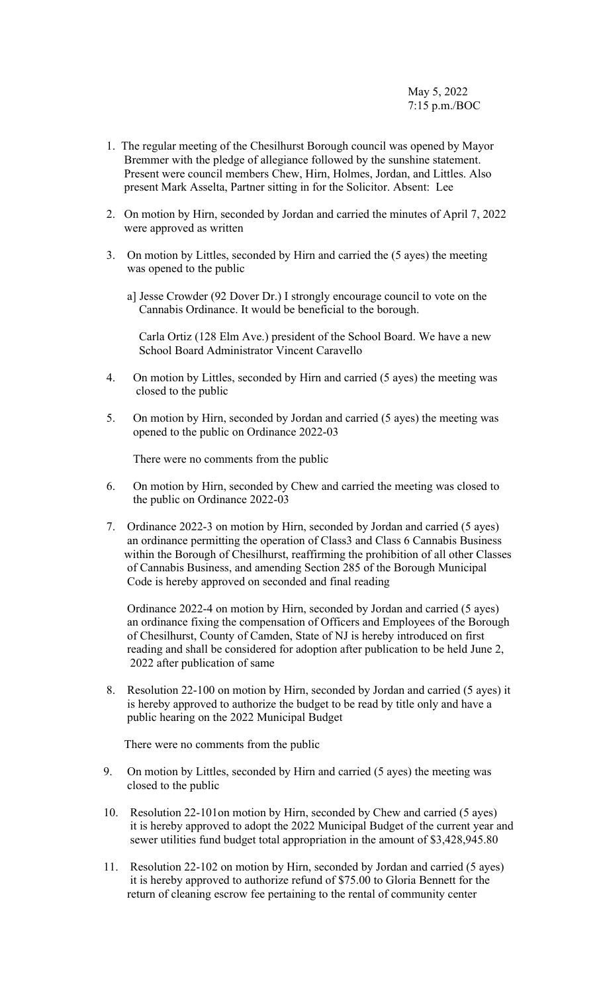- 1. The regular meeting of the Chesilhurst Borough council was opened by Mayor Bremmer with the pledge of allegiance followed by the sunshine statement. Present were council members Chew, Hirn, Holmes, Jordan, and Littles. Also present Mark Asselta, Partner sitting in for the Solicitor. Absent: Lee
- 2. On motion by Hirn, seconded by Jordan and carried the minutes of April 7, 2022 were approved as written
- 3. On motion by Littles, seconded by Hirn and carried the (5 ayes) the meeting was opened to the public
	- a] Jesse Crowder (92 Dover Dr.) I strongly encourage council to vote on the Cannabis Ordinance. It would be beneficial to the borough.

 Carla Ortiz (128 Elm Ave.) president of the School Board. We have a new School Board Administrator Vincent Caravello

- 4. On motion by Littles, seconded by Hirn and carried (5 ayes) the meeting was closed to the public
- 5. On motion by Hirn, seconded by Jordan and carried (5 ayes) the meeting was opened to the public on Ordinance 2022-03

There were no comments from the public

- 6. On motion by Hirn, seconded by Chew and carried the meeting was closed to the public on Ordinance 2022-03
- 7. Ordinance 2022-3 on motion by Hirn, seconded by Jordan and carried (5 ayes) an ordinance permitting the operation of Class3 and Class 6 Cannabis Business within the Borough of Chesilhurst, reaffirming the prohibition of all other Classes of Cannabis Business, and amending Section 285 of the Borough Municipal Code is hereby approved on seconded and final reading

Ordinance 2022-4 on motion by Hirn, seconded by Jordan and carried (5 ayes) an ordinance fixing the compensation of Officers and Employees of the Borough of Chesilhurst, County of Camden, State of NJ is hereby introduced on first reading and shall be considered for adoption after publication to be held June 2, 2022 after publication of same

 8. Resolution 22-100 on motion by Hirn, seconded by Jordan and carried (5 ayes) it is hereby approved to authorize the budget to be read by title only and have a public hearing on the 2022 Municipal Budget

There were no comments from the public

- 9. On motion by Littles, seconded by Hirn and carried (5 ayes) the meeting was closed to the public
- 10. Resolution 22-101on motion by Hirn, seconded by Chew and carried (5 ayes) it is hereby approved to adopt the 2022 Municipal Budget of the current year and sewer utilities fund budget total appropriation in the amount of \$3,428,945.80
- 11. Resolution 22-102 on motion by Hirn, seconded by Jordan and carried (5 ayes) it is hereby approved to authorize refund of \$75.00 to Gloria Bennett for the return of cleaning escrow fee pertaining to the rental of community center